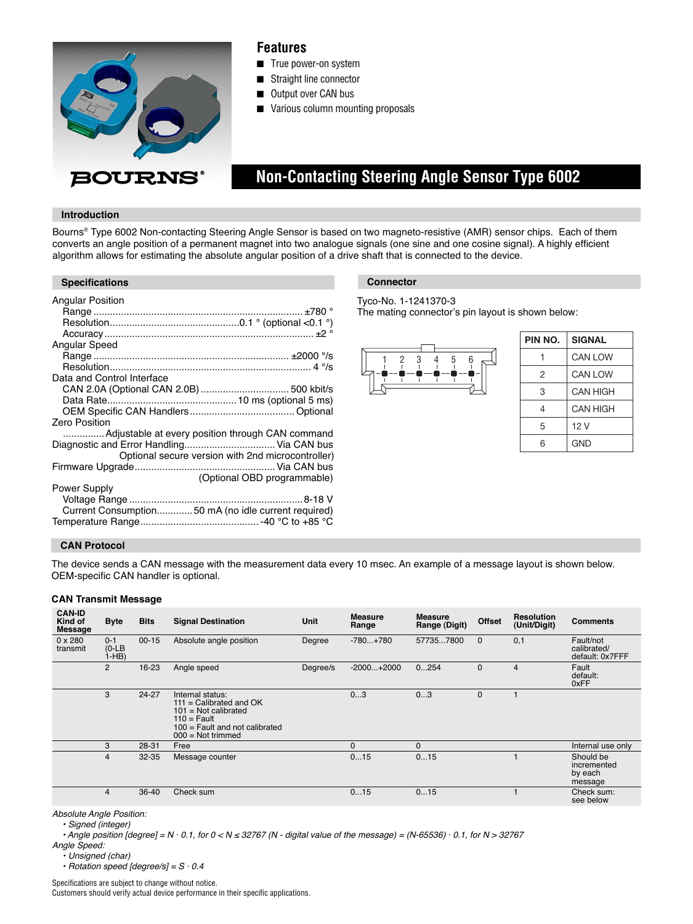

### **Features**

- True power-on system
- Straight line connector
- Output over CAN bus
- Various column mounting proposals

# **Non-Contacting Steering Angle Sensor Type 6002**

#### **Introduction**

Bourns® Type 6002 Non-contacting Steering Angle Sensor is based on two magneto-resistive (AMR) sensor chips. Each of them converts an angle position of a permanent magnet into two analogue signals (one sine and one cosine signal). A highly efficient algorithm allows for estimating the absolute angular position of a drive shaft that is connected to the device.

#### **Specifications Connector**

| <b>Angular Position</b>                             |
|-----------------------------------------------------|
|                                                     |
|                                                     |
|                                                     |
| Angular Speed                                       |
|                                                     |
|                                                     |
| Data and Control Interface                          |
|                                                     |
|                                                     |
|                                                     |
| <b>Zero Position</b>                                |
| Adjustable at every position through CAN command    |
| Diagnostic and Error Handling Via CAN bus           |
| Optional secure version with 2nd microcontroller)   |
|                                                     |
| (Optional OBD programmable)                         |
| Power Supply                                        |
|                                                     |
| Current Consumption50 mA (no idle current required) |
|                                                     |

#### Tyco-No. 1-1241370-3

The mating connector's pin layout is shown below:



| PIN NO. | <b>SIGNAL</b>   |
|---------|-----------------|
|         | <b>CAN LOW</b>  |
| 2       | <b>CAN LOW</b>  |
| 3       | <b>CAN HIGH</b> |
| 4       | <b>CAN HIGH</b> |
| 5       | 12 V            |
| หิ      | GND             |

#### **CAN Protocol**

The device sends a CAN message with the measurement data every 10 msec. An example of a message layout is shown below. OEM-specific CAN handler is optional.

#### **CAN Transmit Message**

| <b>CAN-ID</b><br>Kind of<br>Message | <b>Byte</b>                  | <b>Bits</b> | <b>Signal Destination</b>                                                                                                                                  | Unit     | <b>Measure</b><br>Range | <b>Measure</b><br>Range (Digit) | Offset       | <b>Resolution</b><br>(Unit/Digit) | <b>Comments</b>                                |
|-------------------------------------|------------------------------|-------------|------------------------------------------------------------------------------------------------------------------------------------------------------------|----------|-------------------------|---------------------------------|--------------|-----------------------------------|------------------------------------------------|
| $0 \times 280$<br>transmit          | $0 - 1$<br>$(O-LB)$<br>i-HB) | $00 - 15$   | Absolute angle position                                                                                                                                    | Degree   | $-780+780$              | 577357800                       | $\mathbf{0}$ | 0,1                               | Fault/not<br>calibrated/<br>default: 0x7FFF    |
|                                     | $\overline{2}$               | 16-23       | Angle speed                                                                                                                                                | Degree/s | $-2000+2000$            | 0254                            | $\mathbf 0$  | $\overline{4}$                    | Fault<br>default:<br>0xFF                      |
|                                     | 3                            | 24-27       | Internal status:<br>$111 =$ Calibrated and OK<br>$101$ = Not calibrated<br>$110 = \text{Fault}$<br>$100$ = Fault and not calibrated<br>$000 = Not trimmed$ |          | 03                      | 03                              | $\mathbf 0$  |                                   |                                                |
|                                     | 3                            | 28-31       | Free                                                                                                                                                       |          | $\Omega$                | 0                               |              |                                   | Internal use only                              |
|                                     | $\overline{\mathbf{4}}$      | $32 - 35$   | Message counter                                                                                                                                            |          | 015                     | 015                             |              |                                   | Should be<br>incremented<br>by each<br>message |
|                                     | 4                            | 36-40       | Check sum                                                                                                                                                  |          | 015                     | 015                             |              |                                   | Check sum:<br>see below                        |

Absolute Angle Position:

• Signed (integer)

• Angle position [degree] =  $N \cdot 0.1$ , for  $0 < N \le 32767$  (N - digital value of the message) = (N-65536)  $\cdot$  0.1, for N > 32767

Angle Speed:

• Unsigned (char)

 $\cdot$  Rotation speed [degree/s] =  $S \cdot 0.4$ 

Specifications are subject to change without notice. Customers should verify actual device performance in their specific applications.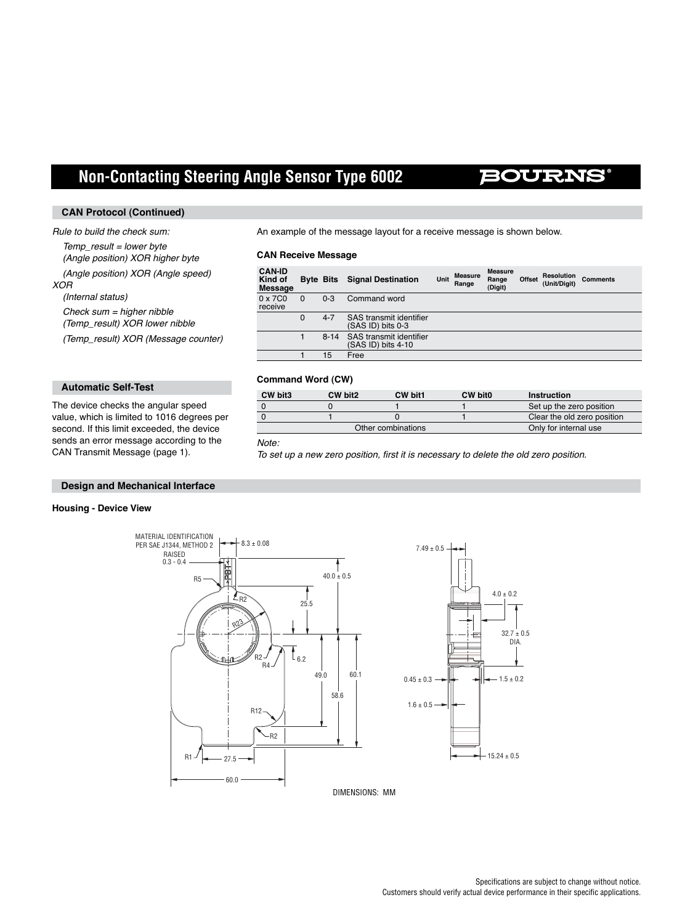# **Non-Contacting Steering Angle Sensor Type 6002**

### **BOURNS**

#### **CAN Protocol (Continued)**

#### Rule to build the check sum:

 $Temp\_result = lower byte$  (Angle position) XOR higher byte (Angle position) XOR (Angle speed) XOR (Internal status)

 $Check sum = higher *n* ibble$ 

(Temp\_result) XOR lower nibble

(Temp\_result) XOR (Message counter)

#### **Automatic Self-Test**

The device checks the angular speed value, which is limited to 1016 degrees per second. If this limit exceeded, the device sends an error message according to the CAN Transmit Message (page 1).

An example of the message layout for a receive message is shown below.

#### **CAN Receive Message**

| <b>CAN-ID</b><br>Kind of<br>Message |             | <b>Byte Bits</b> | <b>Signal Destination</b>                     | Unit | <b>Measure</b><br>Range | Measure<br>Range<br>(Digit) | Offset | <b>Resolution</b><br>(Unit/Diait) | <b>Comments</b> |
|-------------------------------------|-------------|------------------|-----------------------------------------------|------|-------------------------|-----------------------------|--------|-----------------------------------|-----------------|
| 0 x 7C0<br>receive                  | $\Omega$    | $0 - 3$          | Command word                                  |      |                         |                             |        |                                   |                 |
|                                     | $\mathbf 0$ | $4 - 7$          | SAS transmit identifier<br>(SAS ID) bits 0-3  |      |                         |                             |        |                                   |                 |
|                                     |             | $8 - 14$         | SAS transmit identifier<br>(SAS ID) bits 4-10 |      |                         |                             |        |                                   |                 |
|                                     |             | 15               | Free                                          |      |                         |                             |        |                                   |                 |

#### **Command Word (CW)**

| CW bit3 | CW bit2            | CW bit1               | CW bit0 | <b>Instruction</b>          |
|---------|--------------------|-----------------------|---------|-----------------------------|
|         |                    |                       |         | Set up the zero position    |
|         |                    |                       |         | Clear the old zero position |
|         | Other combinations | Only for internal use |         |                             |

#### Note:

To set up a new zero position, first it is necessary to delete the old zero position.

#### **Design and Mechanical Interface**

#### **Housing - Device View**